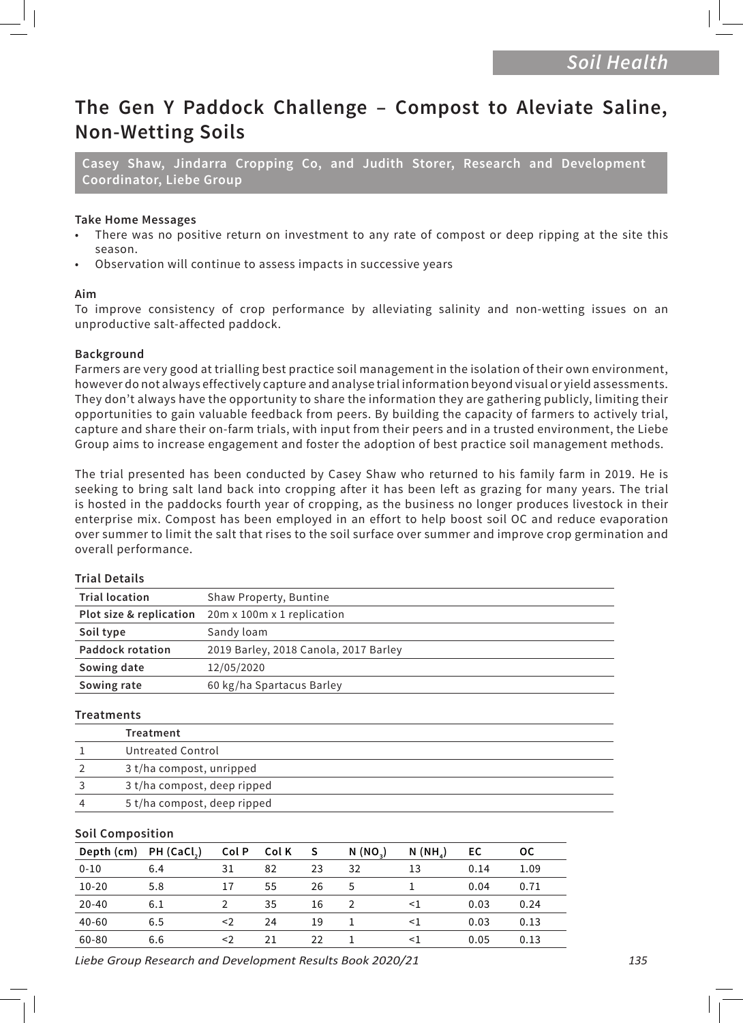# **The Gen Y Paddock Challenge – Compost to Aleviate Saline, Non-Wetting Soils**

**Casey Shaw, Jindarra Cropping Co, and Judith Storer, Research and Development Coordinator, Liebe Group**

#### **Take Home Messages**

- There was no positive return on investment to any rate of compost or deep ripping at the site this season.
- Observation will continue to assess impacts in successive years

#### **Aim**

To improve consistency of crop performance by alleviating salinity and non-wetting issues on an unproductive salt-affected paddock.

#### **Background**

Farmers are very good at trialling best practice soil management in the isolation of their own environment, however do not always effectively capture and analyse trial information beyond visual or yield assessments. They don't always have the opportunity to share the information they are gathering publicly, limiting their opportunities to gain valuable feedback from peers. By building the capacity of farmers to actively trial, capture and share their on-farm trials, with input from their peers and in a trusted environment, the Liebe Group aims to increase engagement and foster the adoption of best practice soil management methods.

The trial presented has been conducted by Casey Shaw who returned to his family farm in 2019. He is seeking to bring salt land back into cropping after it has been left as grazing for many years. The trial is hosted in the paddocks fourth year of cropping, as the business no longer produces livestock in their enterprise mix. Compost has been employed in an effort to help boost soil OC and reduce evaporation over summer to limit the salt that rises to the soil surface over summer and improve crop germination and overall performance.

### **Trial Details**

| <b>Trial location</b>   | Shaw Property, Buntine                |  |  |
|-------------------------|---------------------------------------|--|--|
| Plot size & replication | 20m x 100m x 1 replication            |  |  |
| Soil type               | Sandy loam                            |  |  |
| <b>Paddock rotation</b> | 2019 Barley, 2018 Canola, 2017 Barley |  |  |
| Sowing date             | 12/05/2020                            |  |  |
| Sowing rate             | 60 kg/ha Spartacus Barley             |  |  |

#### **Treatments**

| Treatment                   |
|-----------------------------|
| Untreated Control           |
| 3 t/ha compost, unripped    |
| 3 t/ha compost, deep ripped |
| 5 t/ha compost, deep ripped |

#### **Soil Composition**

| Depth (cm) PH (CaCl <sub>2</sub> ) |     | Col P | Col K | S  | N (NO <sub>2</sub> ) | $N(NH_A)$ | EC   | 0C   |
|------------------------------------|-----|-------|-------|----|----------------------|-----------|------|------|
| $0 - 10$                           | 6.4 | 31    | 82    | 23 | 32                   | 13        | 0.14 | 1.09 |
| $10 - 20$                          | 5.8 | 17    | 55    | 26 | 5                    |           | 0.04 | 0.71 |
| $20 - 40$                          | 6.1 |       | 35    | 16 |                      | $<$ 1     | 0.03 | 0.24 |
| $40 - 60$                          | 6.5 | <2    | 24    | 19 |                      | $<$ 1     | 0.03 | 0.13 |
| 60-80                              | 6.6 | <2    | 21    | 22 |                      | <1        | 0.05 | 0.13 |

*Liebe Group Research and Development Results Book 2020/21 135*